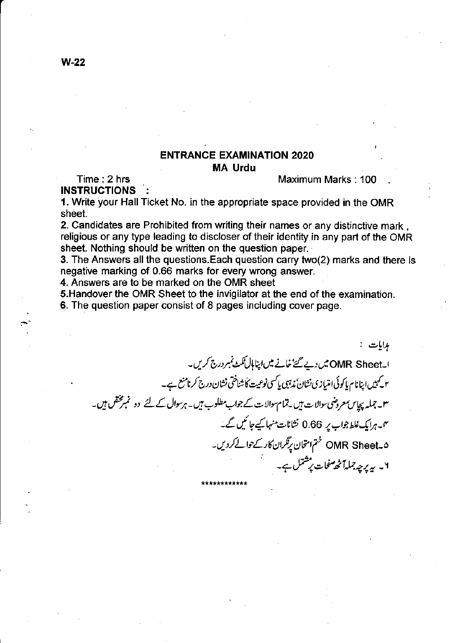## **ENTRANCE EXAMINATION 2020 MA Urdu**

Time: 2 hrs **INSTRUCTIONS**  Maximum Marks: 100

1. Write your Hall Ticket No. in the appropriate space provided in the OMR sheet.

2. Candidates are Prohibited from writing their names or any distinctive mark, religious or any type leading to discloser of their identity in any part of the OMR sheet. Nothing should be written on the question paper.

3. The Answers all the questions. Each question carry two(2) marks and there is negative marking of 0.66 marks for every wrong answer.

4. Answers are to be marked on the OMR sheet

5. Handover the OMR Sheet to the invigilator at the end of the examination.

6. The question paper consist of 8 pages including cover page.

مدامات : ا۔OMR Sheet میں دیے گئے خانے میں اپنا ہال نکٹ نمبر درج کریں۔ ۲ کیمیں اپنانام پاکوئی امتیازی نشان ً پڑہی پاکسی نوعیت کاشناختی نشان درج کرنامنع ہے۔ ۳۔جملہ پچاس معروضی سوالات بیں یتمام سوالات کے جواب مطلوب ہیں۔ہرسوال کے لئے دو نمبرمختص ہیں۔ ىن برايك غلط جواب پر 0.66 نشانات منہا كيے جائىيں گے۔ ۵-OMR Sheet ختم امتحان پرتگران کارکے حوالے کردیں۔ ۲۔ بہ پرچہ جملہاً ٹھ<sup>صفحا</sup>ت پرشتمل ہے۔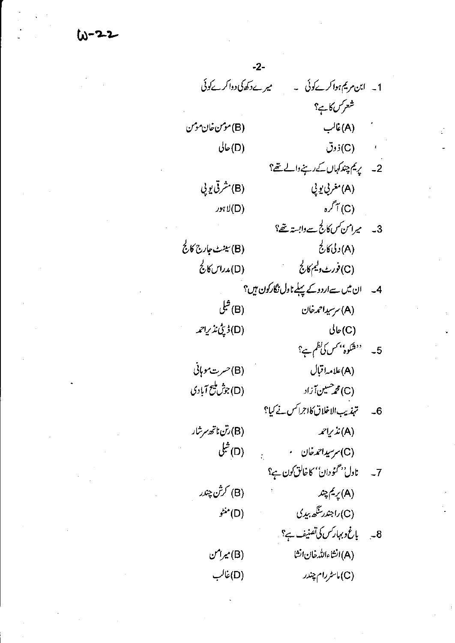$(u - 2 - 2)$ 

 $-2-$ میرےدکھاکی دواکر پےکوئی 1۔ ابن مریم ہواکر کوئی ۔ شعرس کا ہے؟ (B) مومن خان مومن (A)غالب  $\sqrt[3]{\phi(D)}$  $\ddot{\mathcal{O}}$ زوق 2۔ یہ کم چند کہاں کے رہنے والے تھ؟ (B) مشرقی یو پی (A) مغربي يو پي  $\mathcal{I}^{\uparrow}(\mathrm{C})$  $x \in (D)$ 3۔ میرامن کس کالج سے دابسۃ تھ؟ (A) د لیٰ کارج (B) سينٹ جارج كالج (C)فورث وليم كالج (D) مدراس کالج 4۔ ان میں سےاردوکے پہلے نادل نگارکون ہیں؟ ا (B) شل (A) سرسیداحمه خان (D) *ڈپٹی نذی*احمہ  $\bigcup_{\mathcal{C}}(C)$ '<sup>دو</sup>شکوہ'' *کس کی نظم ہے؟*  $-5$ (A)علامہ! قبال (B) حسرت موہائی (D)جۇش ئىيج آبادى (C) محم<sup>صین</sup> آزاد 6۔ تہذیب الاخلاق کا اجراکس نے کیا؟ (B)رتن ناتھ سرشار  $x\vee y$ نذريا (D) شلی (C) سرسیداحمدخان ۰ ناول<sup>، دس</sup>مُوُ دان<sup>،</sup> کا خالق کون ہے؟  $-7$ (B) کرش چندر (A) پريم چند. (C)راجندرسگھ بیدی  $\vec{r}$ (D) 8۔ باغ وبہار س کی تصنیف ہے؟ (A) انشاءالله خان انشا  $\mathcal{L}'(B)$ (C) ماسٹررام چندر (D) غالب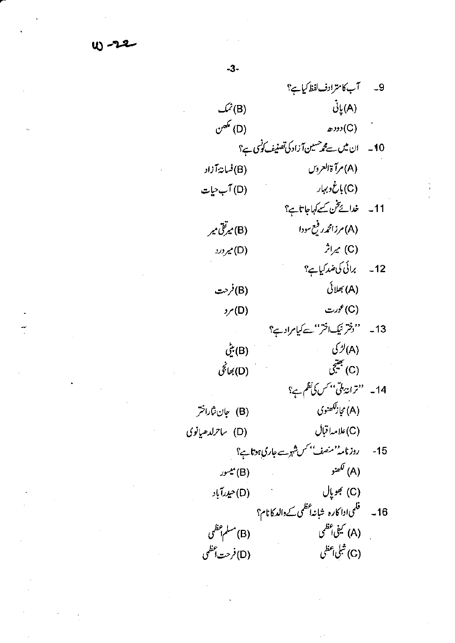$U - 22$ 

9۔ آب کا مترادف لفظ کیا ہے؟  $\dot{\mathcal{G}}_{\downarrow}^{\dagger}(\mathsf{A})$  $\mathcal{L}(B)$  $\mathcal{O}^{\mathscr{A}}(D)$  $ecos(C)$ 10۔ ان میں سے محم<sup>صیین</sup> آزاد کی تصنیف کونسی ہے؟ (A) مرآة العروس (B)فسان*ة آ*زاد (C) باغ د بہار (D) آب حیات 11۔ خدائےتن کے کہاجاتاہ؟ (A) مرزامجرر فبع سودا (B) میرتق میر  $\hat{\mathcal{L}}(\mathsf{C})$  $2x(0)$ 12۔ برائی کی ضد کیا ہے؟ (B)فرحت (A) بھلائی (C)عورت  $y(0)$ 13- ''فِتْرَتِيكَافْترْ''سَ*ت*حكيامراديبْ؟ (A)لڑ کی مسلم (B) بني (C) جيتي (D) بھانچی 14۔ ''ترانۂ ملّی'' کس کی نظم ہے؟ .<br>(A) مجازگلھنوی (B) جان شاراختر (C)علامہاقبال (D) ساحرلدھیانوی روزنامہ''منصف'' کس شہرے جاری ہوتا ہے؟  $-15$ کھنو $\left( \mathsf{A}\right)$ (B) میسور (C) جوپال (D)حيدرآباد (B) مسلم أعظمي (A) کیفی اعظمی (C) شېلى <sub>أ</sub>عظى (D)فرحت أعظمي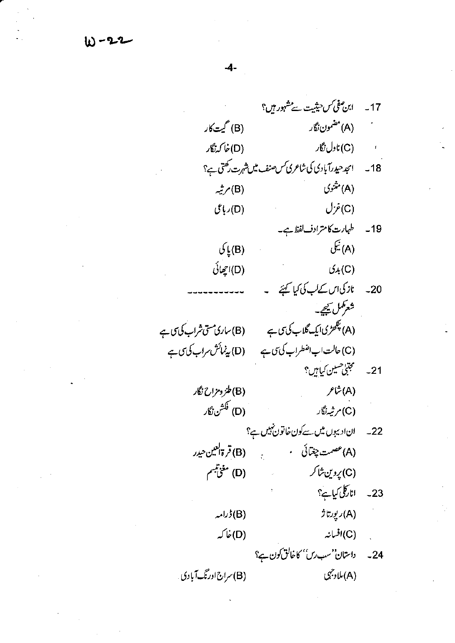W-22

ابن صفى كس حيثيت سے مشہور ہيں؟  $-17$ (B) گیت کار (A) مضمون نگار (D) خا کەزگار (C) ناول نگار .<br>18- امجد حیدرآبادی کی شاعری کس صنف میں شہرت رکھتی ہے؟ (A) منثنوی (B) مرثیہ  $\bigcup \dot{\mathcal{F}}(C)$  $\hat{U}(\cup)$ 19۔ طہارت کا مترادف لفظ ہے۔ (A) ليکي  $\mathcal{G}_{\mu}(B)$ (D)اچھائی  $(x(C))$ 20۔ نازگیاں کےلب کی کیا گہنے ۔ شعركمل سيحير (A) پکھڑی ایک گلاب کی سی ہے (B)ساری مسی شراب کی سی (C) حالت اب اضطراب كى ت ب = (D) يدنمائش مراب كى ى ب 21۔ مسمجتی حسین کیاہیں؟ (B)طنز ومزاح نگار  $f^{\sharp}(\mathsf{A})$ (D) فَكَشْنِ نْكَار (C)مرثیہ نگار ان ادیپوں میں سے کون خاتون ٹییں ہے؟  $-22$ (B) قرةالعين حيدر (A) عصمت چغمائی ۰  $\frac{1}{2}$ (D) مغيّتيبم (C) پروین شاکر اناركلى كياہے؟  $-23$ (A)ريورتاژ  $\mathcal{L}^{j}(\mathsf{B})$ (C)افسانہ (D) ځا که داستان'سب رس'' کاخالق کون ہے؟  $-24$ (A) ملاد جي (B) سراج اورنگ آبادی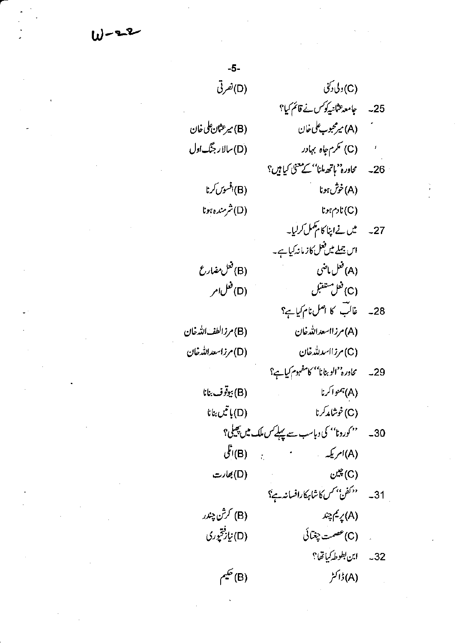$W - 22$ 

| $-5-$                 |                                         |                                                                                                                                                                                                                                                                                                                                                                                                                                       |
|-----------------------|-----------------------------------------|---------------------------------------------------------------------------------------------------------------------------------------------------------------------------------------------------------------------------------------------------------------------------------------------------------------------------------------------------------------------------------------------------------------------------------------|
| (D) نصرتی             | (C) دلی دکنی                            |                                                                                                                                                                                                                                                                                                                                                                                                                                       |
|                       |                                         |                                                                                                                                                                                                                                                                                                                                                                                                                                       |
| (B) میرعثان علی خان   |                                         |                                                                                                                                                                                                                                                                                                                                                                                                                                       |
| (D)سلار جنگ اول       |                                         | $\pmb{t}$                                                                                                                                                                                                                                                                                                                                                                                                                             |
|                       |                                         |                                                                                                                                                                                                                                                                                                                                                                                                                                       |
| (B)افسوس <i>کر</i> نا | (A)خوش ہونا                             |                                                                                                                                                                                                                                                                                                                                                                                                                                       |
| (D) شرمنده ہونا       | $tr_{\gamma}$ ادم $r(\mathrm{C})$       |                                                                                                                                                                                                                                                                                                                                                                                                                                       |
|                       |                                         |                                                                                                                                                                                                                                                                                                                                                                                                                                       |
|                       | اس جملے میں فعل کاز مانہ کیا ہے۔        |                                                                                                                                                                                                                                                                                                                                                                                                                                       |
| (B) فعل مضارع         | (A) فعل ماضی                            |                                                                                                                                                                                                                                                                                                                                                                                                                                       |
| (D) فغل امر           | (C) فعل مستقبل                          |                                                                                                                                                                                                                                                                                                                                                                                                                                       |
|                       |                                         |                                                                                                                                                                                                                                                                                                                                                                                                                                       |
| (B) مرزالطف الله خان  | (A) مرزااسعدالله خان                    |                                                                                                                                                                                                                                                                                                                                                                                                                                       |
| (D) مرزاسعدالله خان   | (C)مرزااسد لله خان                      |                                                                                                                                                                                                                                                                                                                                                                                                                                       |
|                       |                                         |                                                                                                                                                                                                                                                                                                                                                                                                                                       |
| (B) بيوقوف بنانا      | (A) بممواکرنا                           |                                                                                                                                                                                                                                                                                                                                                                                                                                       |
| $t$ انيں بنانا        | (C)خوشامد <i>کر</i> نا                  |                                                                                                                                                                                                                                                                                                                                                                                                                                       |
|                       |                                         |                                                                                                                                                                                                                                                                                                                                                                                                                                       |
|                       |                                         |                                                                                                                                                                                                                                                                                                                                                                                                                                       |
| (D) بھارت             | $\mathcal{C}^{\mathscr{L}}(\mathrm{C})$ |                                                                                                                                                                                                                                                                                                                                                                                                                                       |
|                       |                                         |                                                                                                                                                                                                                                                                                                                                                                                                                                       |
|                       | (A) پريم چند                            |                                                                                                                                                                                                                                                                                                                                                                                                                                       |
| (D) نڀاز <i>ٿور</i> ي |                                         |                                                                                                                                                                                                                                                                                                                                                                                                                                       |
|                       |                                         |                                                                                                                                                                                                                                                                                                                                                                                                                                       |
|                       |                                         |                                                                                                                                                                                                                                                                                                                                                                                                                                       |
|                       |                                         |                                                                                                                                                                                                                                                                                                                                                                                                                                       |
|                       |                                         |                                                                                                                                                                                                                                                                                                                                                                                                                                       |
|                       | (B) کرش چندر<br>(B) ڪيم                 | 25۔ جامعہ عثانیہ کوکس نے قائم کیا؟<br>شىر (A) مىرمحبوب على خان<br>(C) نکرم جاه بہادر<br>26۔ کاورہ''ہاتھ ملنا''کے معنیٰ کیا ہیں؟<br>27۔ میں نےاپنا کا مہمل کرلیا۔<br>28۔ غالب کا اصل نام کیاہے؟<br>29۔ کاورہ''الوہنانا'' کامفہوم کیاہے؟<br>30۔ ''کورونا'' کی دباسب سے پہلے <i>کس ملک میں پھی</i> لی؟<br>(A)امریکہ میں مسجد (B)انگلی<br>31- متحفن بمس كاشابركارافسانه ہے؟<br>.     (C) عصمت چغتائی<br>32- ابن بطوط كياتها؟<br>(A) ڈاکٹر |

 $\label{eq:2} \frac{1}{\sqrt{2}}\sum_{i=1}^n\frac{1}{\sqrt{2}}\sum_{i=1}^n\frac{1}{\sqrt{2}}\sum_{i=1}^n\frac{1}{\sqrt{2}}\sum_{i=1}^n\frac{1}{\sqrt{2}}\sum_{i=1}^n\frac{1}{\sqrt{2}}\sum_{i=1}^n\frac{1}{\sqrt{2}}\sum_{i=1}^n\frac{1}{\sqrt{2}}\sum_{i=1}^n\frac{1}{\sqrt{2}}\sum_{i=1}^n\frac{1}{\sqrt{2}}\sum_{i=1}^n\frac{1}{\sqrt{2}}\sum_{i=1}^n\frac{1$ 

 $\mathcal{L}^{\text{max}}_{\text{max}}$ 

 $\label{eq:2.1} \mathcal{L}(\mathcal{L}^{\text{max}}_{\mathcal{L}}(\mathcal{L}^{\text{max}}_{\mathcal{L}})) \leq \mathcal{L}(\mathcal{L}^{\text{max}}_{\mathcal{L}}(\mathcal{L}^{\text{max}}_{\mathcal{L}}))$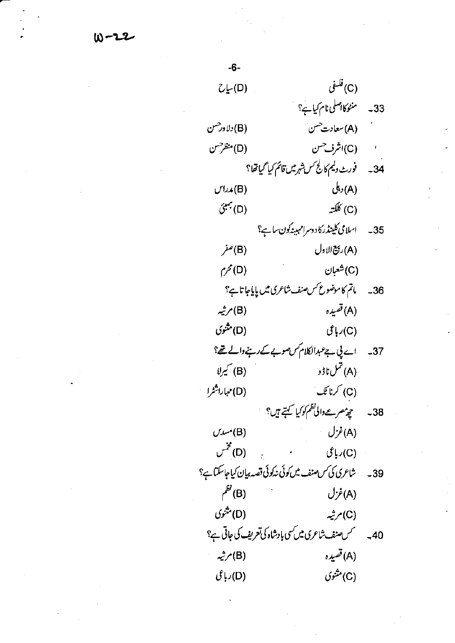$W - 22$ 

 $\stackrel{\hat{\mathbf{u}} = \hat{\mathbf{u}}(\mathbf{C})}{=$  $C\swarrow(D)$ 33۔ منٹوکااصلی نام کیا ہے؟ (A) سعادت حسن (B) دلاور حسن (D) منظرحسن (C)اشرف<sup>حس</sup>ن .<br>34 - فورث دليم كالج س شهر ميں قائم كيا گياتھا؟ (A) دىكى  $U^{1,1}(B)$ (C) کلکته  $\hat{C}^{*}(\mathsf{D})$ 35۔ اسلامی کلینڈرکا دوسرامہیندکون ساہے؟ (A) ريخ الاول (B) صفر (C)شغبان  $\zeta^{\prime}(D)$ 36۔ ماتم کاموضو*ع کس صنف شاعر*ی میں پایاجا تاہے؟ (A) قصيده (B) مرثیہ (D) مثنوی  $\mathcal{E} \cup (C)$ 37۔ اے پی ہے عبدالکلام کس صوبے کے رہنے والے تھ؟  $\bigcup\limits_{i=1}^n B_i$ (A) تىل ناۋو  $\mathbb{E} \mathbb{E} \mathbb{E} \left( C \right)$ (D) مہاراشٹرا 38۔ چی*ٹھرےوالی نظم کو کیا گہتے ہیں؟*  $\rightarrow$  (A) غزل  $U^{\prime\prime\prime\prime\prime}(B)$  $\mathcal{C}^{\mathcal{Z}}(D)$  $\mathcal{E}$ باعی $(\mathsf{C})$ 39 \_ شاعرى كى *من صنف ميں كو*ئى نەكوئى قصە بيان كياجاسكتا ہے؟  $\mu^{E'}(B)$ (A)غزل (D) مثنوی (C) مرثیہ 40 پہ میں سر سن شاعری میں کسی بادشاہ کی تعریف کی جاتی ہے؟ (A) قصيده (B) مرثیہ (C) مثنوی  $\hat{\mathcal{E}}$ باعی $(D)$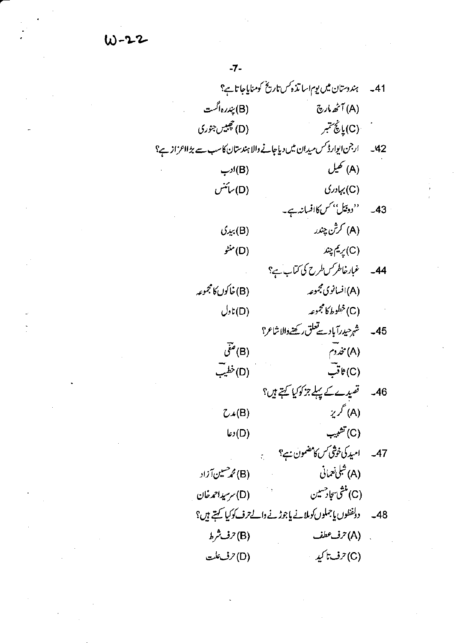W-22

 $\label{eq:2.1} \frac{1}{\sqrt{2\pi}}\frac{1}{\sqrt{2\pi}}\int_{0}^{\infty}\frac{1}{\sqrt{2\pi}}\frac{1}{\sqrt{2\pi}}\int_{0}^{\infty}\frac{1}{\sqrt{2\pi}}\frac{1}{\sqrt{2\pi}}\frac{1}{\sqrt{2\pi}}\frac{1}{\sqrt{2\pi}}\frac{1}{\sqrt{2\pi}}\frac{1}{\sqrt{2\pi}}\frac{1}{\sqrt{2\pi}}\frac{1}{\sqrt{2\pi}}\frac{1}{\sqrt{2\pi}}\frac{1}{\sqrt{2\pi}}\frac{1}{\sqrt{2\pi}}\frac{1}{\sqrt{2\pi}}\$ 

 $\label{eq:2.1} \frac{1}{\sqrt{2}}\sum_{i=1}^n\frac{1}{\sqrt{2}}\sum_{j=1}^n\frac{1}{\sqrt{2}}\sum_{j=1}^n\frac{1}{\sqrt{2}}\sum_{j=1}^n\frac{1}{\sqrt{2}}\sum_{j=1}^n\frac{1}{\sqrt{2}}\sum_{j=1}^n\frac{1}{\sqrt{2}}\sum_{j=1}^n\frac{1}{\sqrt{2}}\sum_{j=1}^n\frac{1}{\sqrt{2}}\sum_{j=1}^n\frac{1}{\sqrt{2}}\sum_{j=1}^n\frac{1}{\sqrt{2}}\sum_{j=1}^n\frac$ 

 $\label{eq:2.1} \mathcal{L}_{\mathcal{A}}(\mathcal{A}) = \mathcal{L}_{\mathcal{A}}(\mathcal{A}) = \mathcal{L}_{\mathcal{A}}(\mathcal{A}) = \mathcal{L}_{\mathcal{A}}(\mathcal{A})$ 

| 41۔ ہندوستان میں یوم اسا تذ ہمس تاریخ کومنایاجا تاہے؟                    |                                                          |       |
|--------------------------------------------------------------------------|----------------------------------------------------------|-------|
| (B) بپ <sub>ررہ</sub> اگست                                               | (A) أَنَّهُ مارِچ                                        |       |
| (D) چېيس جنوري                                                           | في (C) يانچ سمبر                                         |       |
| 42۔ ارجن ایوارڈ کس میدان میں دیاجانے والا ہندستان کاسب سے بڑ ااعر از ہے؟ |                                                          |       |
| (B) ادب                                                                  | (A) تھيل                                                 |       |
| (D) سائنس                                                                | (C) بہادری                                               |       |
|                                                                          | 43۔ ''دوئیل'' <i>کس کا</i> افسانہ ہے۔                    |       |
| (B) بيدى                                                                 | (A) کرش چندر                                             |       |
| (D) منڻو                                                                 | (C) پريم چند                                             |       |
|                                                                          | 44۔ غبارخاطر کسطرح کی کتاب ہے؟                           |       |
| (B) خاکوں کا مجموعہ                                                      | (A)افسانوی مجموعه                                        |       |
| $\bigcup_{\mathfrak{b}}\mathfrak{t}(\mathsf{D})$                         | (C)خطوط كالمجموعه                                        |       |
|                                                                          | 45 - شہرحیدرآبادسےتعلق رکھنےوالاشاعر؟                    |       |
| $\vec{\mathcal{C}}^{\bullet}(\mathsf{B})$                                | $\mathcal{E}(\mathsf{A})$                                |       |
| (D)خطيب                                                                  | $\bar{C}$ ) ٹات                                          |       |
|                                                                          | 46۔ قصیدے کے پہلے جز کوکیا کہتے ہیں؟                     |       |
| $\mathcal{L} \star (B)$                                                  | $\chi \nmid (A)$                                         |       |
| (D) دعا                                                                  | (C) تشبيب                                                |       |
|                                                                          | 47۔ امید کی خوشی کس کامضمون ہے؟                          |       |
| (B) محمر حسین آزاد                                                       | (A) شَلِيْ نَعْمَانِي                                    |       |
| (D) سرسیداحمدخان                                                         | (C) منثى سجاد حسين                                       |       |
|                                                                          | دولفظوں پاجملوں کوملانے پاجوڑنے والے ترف کوکیا کہتے ہیں؟ | $-48$ |
| (B) حرف شرط                                                              | (A) 7ف <sup>9</sup> طف                                   |       |
| (D) حرف علت                                                              | (C) حرف تا کید ۱۰                                        |       |